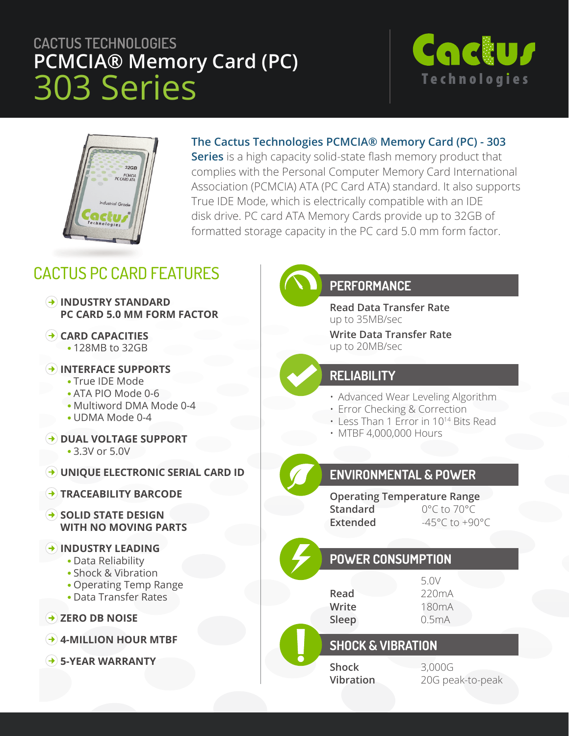# **CACTUS TECHNOLOGIES PCMCIA® Memory Card (PC)** 303 Series





#### **The Cactus Technologies PCMCIA® Memory Card (PC) - 303**

**Series** is a high capacity solid-state flash memory product that complies with the Personal Computer Memory Card International Association (PCMCIA) ATA (PC Card ATA) standard. It also supports True IDE Mode, which is electrically compatible with an IDE disk drive. PC card ATA Memory Cards provide up to 32GB of formatted storage capacity in the PC card 5.0 mm form factor.

## CACTUS PC CARD FEATURES

- **INDUSTRY STANDARD PC CARD 5.0 MM FORM FACTOR**
- **CARD CAPACITIES** 128MB to 32GB
- **INTERFACE SUPPORTS**
	- True IDE Mode
	- ATA PIO Mode 0-6
	- Multiword DMA Mode 0-4
	- UDMA Mode 0-4
- $\rightarrow$  **DUAL VOLTAGE SUPPORT** 
	- 3.3V or 5.0V
- **UNIQUE ELECTRONIC SERIAL CARD ID**
- **TRACEABILITY BARCODE**
- **SOLID STATE DESIGN WITH NO MOVING PARTS**
- **INDUSTRY LEADING**
	- Data Reliability
	- Shock & Vibration
	- Operating Temp Range
	- Data Transfer Rates
- **→ ZERO DB NOISE**
- **4-MILLION HOUR MTBF**
- **5-YEAR WARRANTY**

#### **PERFORMANCE**

**Read Data Transfer Rate** up to 35MB/sec

**Write Data Transfer Rate** up to 20MB/sec

#### **RELIABILITY**

- Advanced Wear Leveling Algorithm
- Error Checking & Correction
- Less Than 1 Error in 1014 Bits Read
- MTBF 4,000,000 Hours

### **ENVIRONMENTAL & POWER**

**Operating Temperature Range Standard** 0°C to 70°C Extended  $-45^{\circ}$ C to +90 $^{\circ}$ C

### **POWER CONSUMPTION**

5.0V **Read** 220mA **Write** 180mA **Sleep** 0.5mA

#### **SHOCK & VIBRATION**

**Shock** 3,000G

**Vibration** 20G peak-to-peak